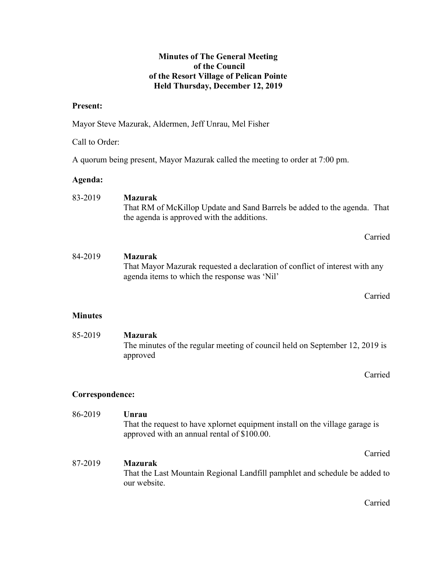## Minutes of The General Meeting of the Council of the Resort Village of Pelican Pointe Held Thursday, December 12, 2019

## Present:

Mayor Steve Mazurak, Aldermen, Jeff Unrau, Mel Fisher

## Call to Order:

A quorum being present, Mayor Mazurak called the meeting to order at 7:00 pm.

### Agenda:

| 83-2019 | Mazurak                                                                  |  |
|---------|--------------------------------------------------------------------------|--|
|         | That RM of McKillop Update and Sand Barrels be added to the agenda. That |  |
|         | the agenda is approved with the additions.                               |  |

Carried

## 84-2019 Mazurak That Mayor Mazurak requested a declaration of conflict of interest with any agenda items to which the response was 'Nil'

Carried

## **Minutes**

 85-2019 Mazurak The minutes of the regular meeting of council held on September 12, 2019 is approved

Carried

## Correspondence:

 86-2019 Unrau That the request to have xplornet equipment install on the village garage is approved with an annual rental of \$100.00. Carried 87-2019 Mazurak

 That the Last Mountain Regional Landfill pamphlet and schedule be added to our website.

Carried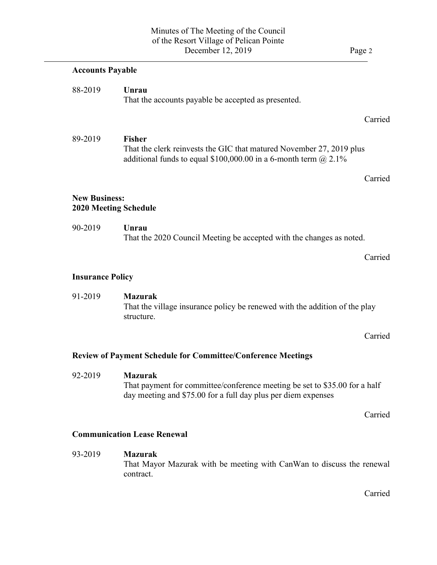| <b>Accounts Payable</b> |                                                                                                                                                                 |
|-------------------------|-----------------------------------------------------------------------------------------------------------------------------------------------------------------|
| 88-2019                 | Unrau<br>That the accounts payable be accepted as presented.                                                                                                    |
|                         | Carried                                                                                                                                                         |
| 89-2019                 | <b>Fisher</b><br>That the clerk reinvests the GIC that matured November 27, 2019 plus<br>additional funds to equal \$100,000.00 in a 6-month term $\omega$ 2.1% |
|                         | Carried                                                                                                                                                         |
| <b>New Business:</b>    | <b>2020 Meeting Schedule</b>                                                                                                                                    |
| 90-2019                 | Unrau<br>That the 2020 Council Meeting be accepted with the changes as noted.                                                                                   |
|                         | Carried                                                                                                                                                         |
| <b>Insurance Policy</b> |                                                                                                                                                                 |
| 91-2019                 | <b>Mazurak</b><br>That the village insurance policy be renewed with the addition of the play<br>structure.                                                      |
|                         | Carried                                                                                                                                                         |
|                         | <b>Review of Payment Schedule for Committee/Conference Meetings</b>                                                                                             |
|                         | Mazurak                                                                                                                                                         |
| 92-2019                 | That payment for committee/conference meeting be set to \$35.00 for a half<br>day meeting and \$75.00 for a full day plus per diem expenses                     |

 93-2019 Mazurak That Mayor Mazurak with be meeting with CanWan to discuss the renewal contract.

Carried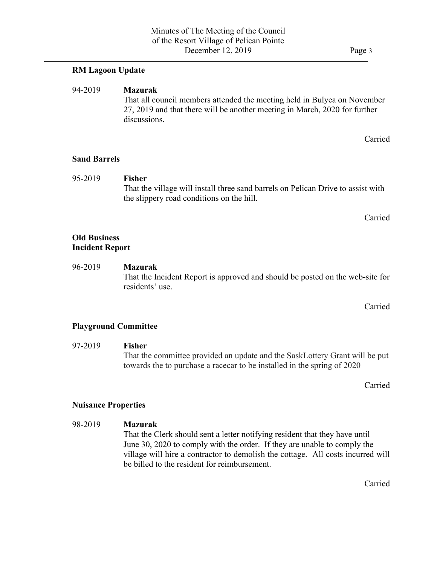## RM Lagoon Update

#### 94-2019 Mazurak

 $\overline{a}$ 

 That all council members attended the meeting held in Bulyea on November 27, 2019 and that there will be another meeting in March, 2020 for further discussions.

Carried

#### Sand Barrels

 95-2019 Fisher That the village will install three sand barrels on Pelican Drive to assist with the slippery road conditions on the hill.

Carried

## Old Business Incident Report

96-2019 Mazurak That the Incident Report is approved and should be posted on the web-site for residents' use.

Carried

#### Playground Committee

#### 97-2019 Fisher

That the committee provided an update and the SaskLottery Grant will be put towards the to purchase a racecar to be installed in the spring of 2020

Carried

#### Nuisance Properties

98-2019 Mazurak That the Clerk should sent a letter notifying resident that they have until June 30, 2020 to comply with the order. If they are unable to comply the village will hire a contractor to demolish the cottage. All costs incurred will be billed to the resident for reimbursement.

Carried